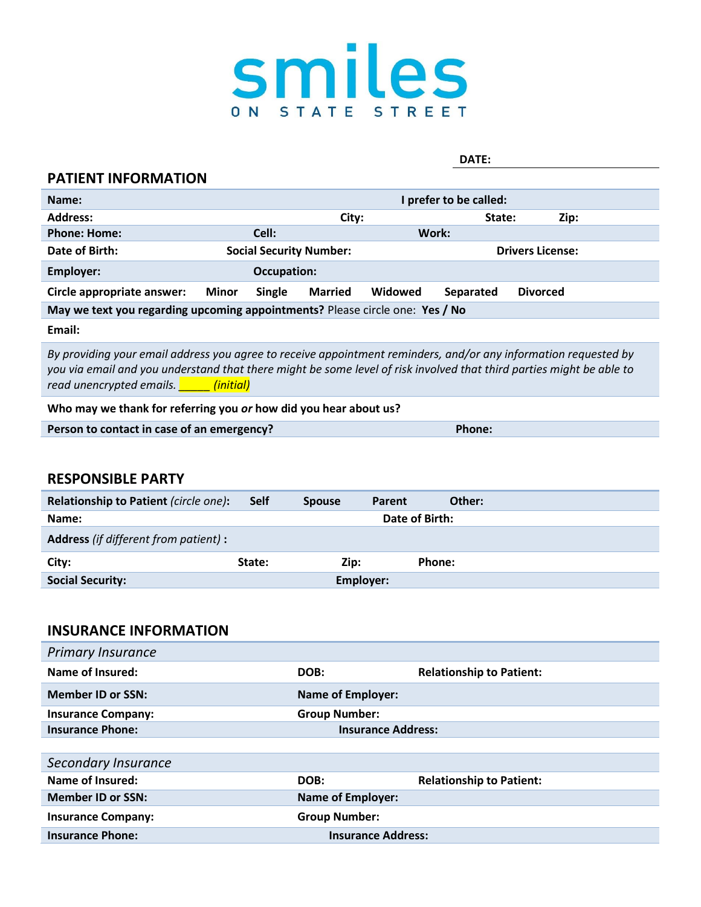

#### **DATE:**

#### **PATIENT INFORMATION**

| Name:                                                                        | I prefer to be called: |                                |                |         |           |                         |      |
|------------------------------------------------------------------------------|------------------------|--------------------------------|----------------|---------|-----------|-------------------------|------|
| <b>Address:</b>                                                              |                        |                                | City:          |         | State:    |                         | Zip: |
| <b>Phone: Home:</b>                                                          |                        | Cell:                          |                | Work:   |           |                         |      |
| Date of Birth:                                                               |                        | <b>Social Security Number:</b> |                |         |           | <b>Drivers License:</b> |      |
| Employer:                                                                    |                        | Occupation:                    |                |         |           |                         |      |
| Circle appropriate answer:                                                   | Minor                  | <b>Single</b>                  | <b>Married</b> | Widowed | Separated | <b>Divorced</b>         |      |
| May we text you regarding upcoming appointments? Please circle one: Yes / No |                        |                                |                |         |           |                         |      |

**Email:**

*By providing your email address you agree to receive appointment reminders, and/or any information requested by you via email and you understand that there might be some level of risk involved that third parties might be able to read unencrypted emails. \_\_\_\_\_ (initial)*

#### **Who may we thank for referring you** *or* **how did you hear about us?**

#### **RESPONSIBLE PARTY**

| Relationship to Patient (circle one):        | <b>Self</b> | <b>Spouse</b> | Parent         | Other: |
|----------------------------------------------|-------------|---------------|----------------|--------|
| Name:                                        |             |               | Date of Birth: |        |
| <b>Address</b> (if different from patient) : |             |               |                |        |
| City:                                        | State:      | Zip:          | Phone:         |        |
| <b>Social Security:</b>                      |             | Employer:     |                |        |

### **INSURANCE INFORMATION**

| <b>Primary Insurance</b>  |                           |                                 |
|---------------------------|---------------------------|---------------------------------|
| Name of Insured:          | DOB:                      | <b>Relationship to Patient:</b> |
| <b>Member ID or SSN:</b>  | <b>Name of Employer:</b>  |                                 |
| <b>Insurance Company:</b> | <b>Group Number:</b>      |                                 |
| <b>Insurance Phone:</b>   | <b>Insurance Address:</b> |                                 |
|                           |                           |                                 |
| Secondary Insurance       |                           |                                 |
| Name of Insured:          | DOB:                      | <b>Relationship to Patient:</b> |
| <b>Member ID or SSN:</b>  | <b>Name of Employer:</b>  |                                 |
| <b>Insurance Company:</b> | <b>Group Number:</b>      |                                 |
| <b>Insurance Phone:</b>   | <b>Insurance Address:</b> |                                 |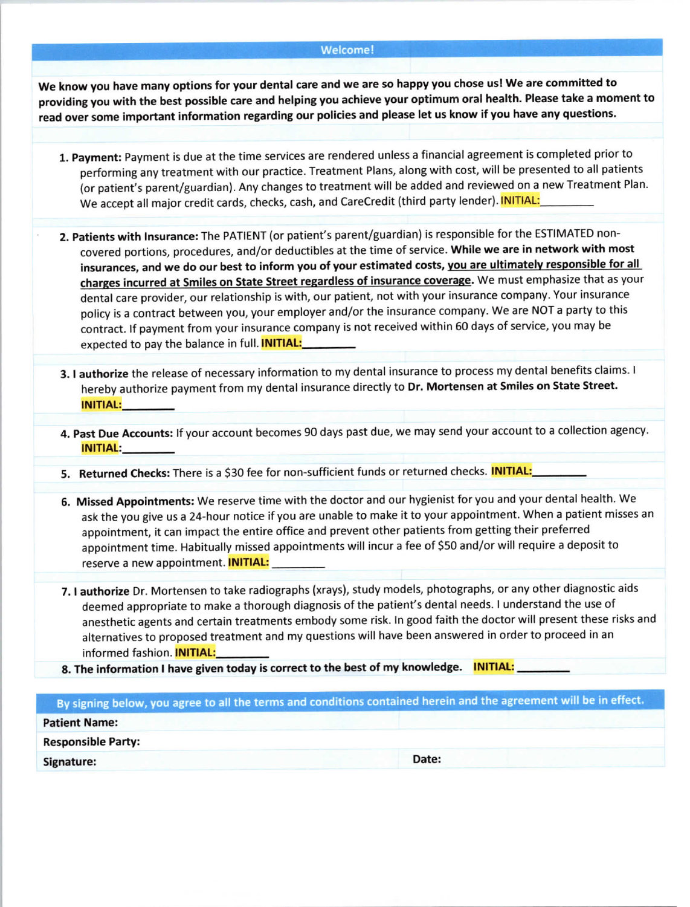#### Welcome!

We know you have many options for your dental care and we are so happy you chose us! We are committed to providing you with the best possible care and helping you achieve your optimum oral health. Please take a moment to read over some important information regarding our policies and please let us know if you have any questions.

- 1. Payment: Payment is due at the time services are rendered unless a financial agreement is completed prior to performing any treatment with our practice. Treatment Plans, along with cost, will be presented to all patients (or patient's parent/guardian). Any changes to treatment will be added and reviewed on a new Treatment Plan. We accept all major credit cards, checks, cash, and CareCredit (third party lender). INITIAL:
- 2. Patients with Insurance: The PATIENT (or patient's parent/guardian) is responsible for the ESTIMATED noncovered portions, procedures, and/or deductibles at the time of service. While we are in network with most insurances, and we do our best to inform you of your estimated costs, you are ultimately responsible for all charges incurred at Smiles on State Street regardless of insurance coverage. We must emphasize that as your dental care provider, our relationship is with, our patient, not with your insurance company. Your insurance policy is a contract between you, your employer and/or the insurance company. We are NOT a party to this contract. If payment from your insurance company is not received within 60 days of service, you may be expected to pay the balance in full. **INITIAL:**
- 3. I authorize the release of necessary information to my dental insurance to process my dental benefits claims. I hereby authorize payment from my dental insurance directly to Dr. Mortensen at Smiles on State Street. **INITIAL:**
- 4. Past Due Accounts: If your account becomes 90 days past due, we may send your account to a collection agency. **INITIAL:**
- 5. Returned Checks: There is a \$30 fee for non-sufficient funds or returned checks. INITIAL:
- 6. Missed Appointments: We reserve time with the doctor and our hygienist for you and your dental health. We ask the you give us a 24-hour notice if you are unable to make it to your appointment. When a patient misses an appointment, it can impact the entire office and prevent other patients from getting their preferred appointment time. Habitually missed appointments will incur a fee of \$50 and/or will require a deposit to reserve a new appointment. **INITIAL:**
- 7. I authorize Dr. Mortensen to take radiographs (xrays), study models, photographs, or any other diagnostic aids deemed appropriate to make a thorough diagnosis of the patient's dental needs. I understand the use of anesthetic agents and certain treatments embody some risk. In good faith the doctor will present these risks and alternatives to proposed treatment and my questions will have been answered in order to proceed in an informed fashion. INITIAL:
- 8. The information I have given today is correct to the best of my knowledge. **INITIAL:**

| By signing below, you agree to all the terms and conditions contained herein and the agreement will be in effect. |       |
|-------------------------------------------------------------------------------------------------------------------|-------|
| <b>Patient Name:</b>                                                                                              |       |
| <b>Responsible Party:</b>                                                                                         |       |
| Signature:                                                                                                        | Date: |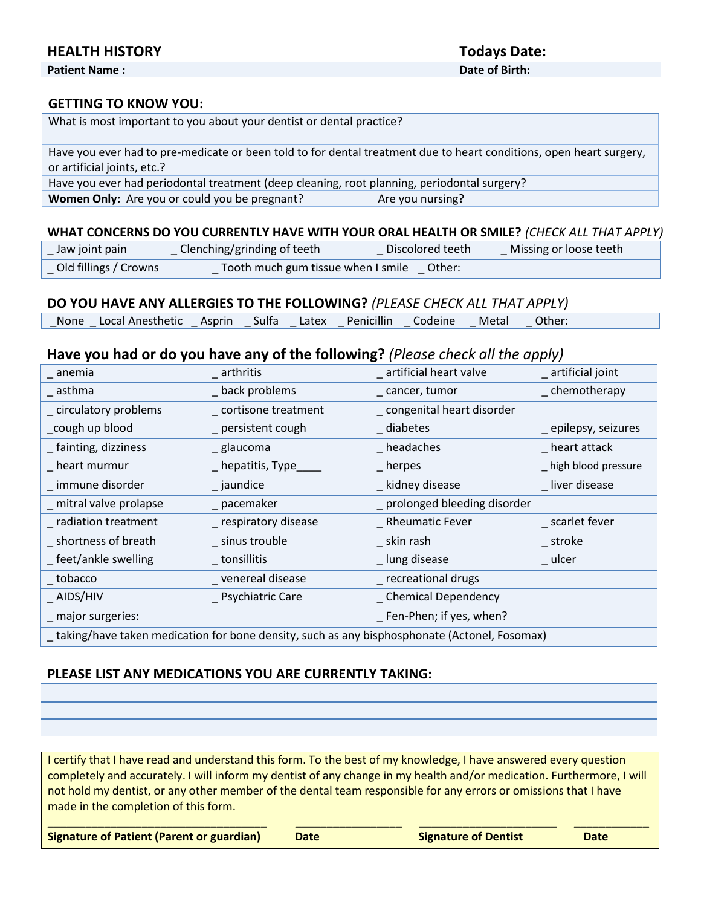# **HEALTH HISTORY Todays Date:**

**Patient Name : Date of Birth:**

#### **GETTING TO KNOW YOU:**

| What is most important to you about your dentist or dental practice?                                                                               |  |
|----------------------------------------------------------------------------------------------------------------------------------------------------|--|
| Have you ever had to pre-medicate or been told to for dental treatment due to heart conditions, open heart surgery,<br>or artificial joints, etc.? |  |
| Have you ever had periodontal treatment (deep cleaning, root planning, periodontal surgery?                                                        |  |
| Women Only: Are you or could you be pregnant?<br>Are you nursing?                                                                                  |  |

### **WHAT CONCERNS DO YOU CURRENTLY HAVE WITH YOUR ORAL HEALTH OR SMILE?** *(CHECK ALL THAT APPLY)*

| $\angle$ Jaw joint pain | Clenching/grinding of teeth                 | Discolored teeth | Missing or loose teeth |
|-------------------------|---------------------------------------------|------------------|------------------------|
| Old fillings / Crowns   | Tooth much gum tissue when I smile _ Other: |                  |                        |

## **DO YOU HAVE ANY ALLERGIES TO THE FOLLOWING?** *(PLEASE CHECK ALL THAT APPLY)*

| Penicillin<br><b>Sulfa</b><br>Local Anesthetic Asprin<br>None<br>Codeine<br>Latex<br>Metal<br>Other: |  |
|------------------------------------------------------------------------------------------------------|--|
|------------------------------------------------------------------------------------------------------|--|

# **Have you had or do you have any of the following?** *(Please check all the apply)*

| _ anemia                | arthritis             | _ artificial heart valve                                                                     | _ artificial joint    |
|-------------------------|-----------------------|----------------------------------------------------------------------------------------------|-----------------------|
| $-$ asthma              | _ back problems       | _ cancer, tumor                                                                              | _chemotherapy         |
| _ circulatory problems  | _cortisone treatment  | _ congenital heart disorder                                                                  |                       |
| _cough up blood         | _ persistent cough    | _ diabetes                                                                                   | _ epilepsy, seizures  |
| _fainting, dizziness    | _ glaucoma            | headaches                                                                                    | heart attack          |
| heart murmur            | _ hepatitis, Type_    | $\_$ herpes                                                                                  | _ high blood pressure |
| _ immune disorder       | _ jaundice            | _ kidney disease                                                                             | _liver disease        |
| _ mitral valve prolapse | _ pacemaker           | _ prolonged bleeding disorder                                                                |                       |
| _ radiation treatment   | _ respiratory disease | _ Rheumatic Fever                                                                            | _ scarlet fever       |
| _shortness of breath    | _ sinus trouble       | skin rash                                                                                    | _ stroke              |
| _feet/ankle swelling    | $\_$ tonsillitis      | _ lung disease                                                                               | _ ulcer               |
| $\_$ tobacco            | _ venereal disease    | _ recreational drugs                                                                         |                       |
| $\_$ AIDS/HIV           | _ Psychiatric Care    | _ Chemical Dependency                                                                        |                       |
| _ major surgeries:      |                       | _ Fen-Phen; if yes, when?                                                                    |                       |
|                         |                       | taking/have taken medication for bone density, such as any bisphosphonate (Actonel, Fosomax) |                       |

## **PLEASE LIST ANY MEDICATIONS YOU ARE CURRENTLY TAKING:**

I certify that I have read and understand this form. To the best of my knowledge, I have answered every question completely and accurately. I will inform my dentist of any change in my health and/or medication. Furthermore, I will not hold my dentist, or any other member of the dental team responsible for any errors or omissions that I have made in the completion of this form.

**Signature of Patient (Parent or guardian) Date Signature of Dentist Date**

**\_\_\_\_\_\_\_\_\_\_\_\_\_\_\_\_\_\_\_\_\_\_\_\_\_\_\_\_\_\_\_\_\_\_\_ \_\_\_\_\_\_\_\_\_\_\_\_\_\_\_\_\_ \_\_\_\_\_\_\_\_\_\_\_\_\_\_\_\_\_\_\_\_\_\_ \_\_\_\_\_\_\_\_\_\_\_\_**